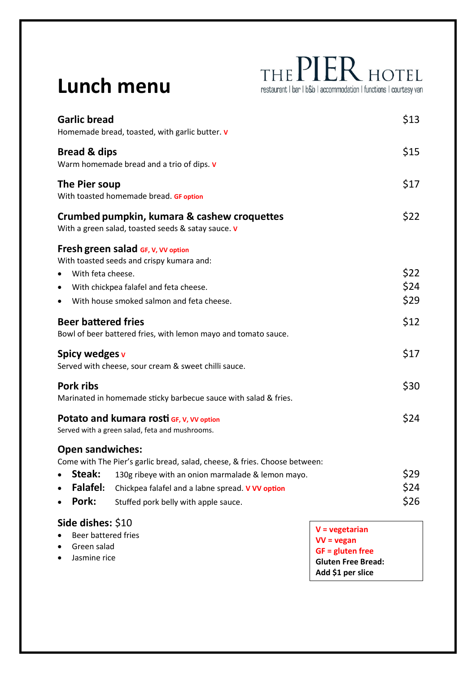## **Lunch menu**

THE PIER HOTEL restaurant | bar | b&b | accommodation | functions | courtesy van

| <b>Garlic bread</b>                                                                        | Homemade bread, toasted, with garlic butter. v                                                    |  |
|--------------------------------------------------------------------------------------------|---------------------------------------------------------------------------------------------------|--|
| <b>Bread &amp; dips</b>                                                                    | Warm homemade bread and a trio of dips. v                                                         |  |
| The Pier soup                                                                              | With toasted homemade bread. GF option                                                            |  |
|                                                                                            | Crumbed pumpkin, kumara & cashew croquettes<br>With a green salad, toasted seeds & satay sauce. v |  |
|                                                                                            | Fresh green salad GF, V, VV option<br>With toasted seeds and crispy kumara and:                   |  |
| With feta cheese.                                                                          |                                                                                                   |  |
| ٠                                                                                          | With chickpea falafel and feta cheese.                                                            |  |
|                                                                                            | With house smoked salmon and feta cheese.                                                         |  |
| <b>Beer battered fries</b>                                                                 | Bowl of beer battered fries, with lemon mayo and tomato sauce.                                    |  |
| Spicy wedges v                                                                             | Served with cheese, sour cream & sweet chilli sauce.                                              |  |
| Pork ribs                                                                                  | Marinated in homemade sticky barbecue sauce with salad & fries.                                   |  |
| Potato and kumara rosti GF, V, VV option<br>Served with a green salad, feta and mushrooms. |                                                                                                   |  |
| <b>Open sandwiches:</b>                                                                    |                                                                                                   |  |
|                                                                                            | Come with The Pier's garlic bread, salad, cheese, & fries. Choose between:                        |  |
| Steak:                                                                                     | 130g ribeye with an onion marmalade & lemon mayo.                                                 |  |
| <b>Falafel:</b>                                                                            | Chickpea falafel and a labne spread. V VV option                                                  |  |
| Pork:                                                                                      | Stuffed pork belly with apple sauce.                                                              |  |

|           | <u> </u>              | $\vert$ V = vegetarian          |  |
|-----------|-----------------------|---------------------------------|--|
|           | • Beer battered fries | $V = v$ egan                    |  |
|           | • Green salad         | $\overline{G}$ GF = gluten free |  |
| $\bullet$ | Jasmine rice          | <b>Gluten Free Bread:</b>       |  |
|           |                       | Add \$1 per slice               |  |